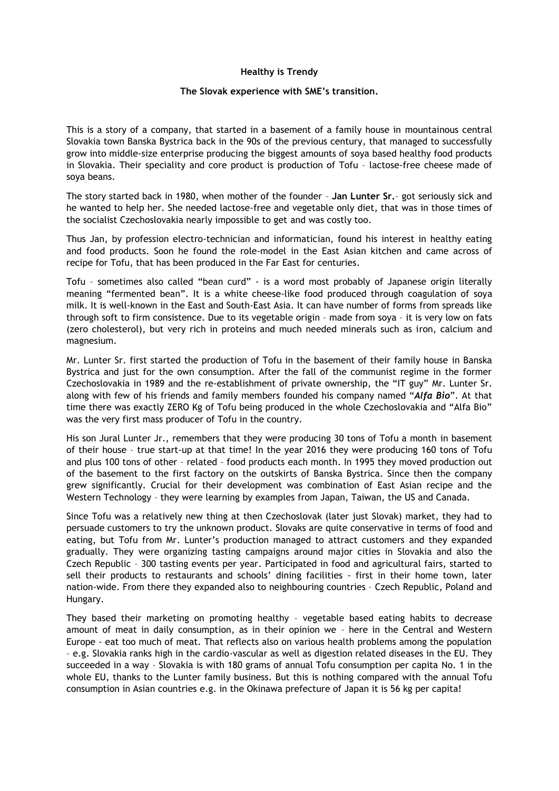## **Healthy is Trendy**

## **The Slovak experience with SME's transition.**

This is a story of a company, that started in a basement of a family house in mountainous central Slovakia town Banska Bystrica back in the 90s of the previous century, that managed to successfully grow into middle-size enterprise producing the biggest amounts of soya based healthy food products in Slovakia. Their speciality and core product is production of Tofu – lactose-free cheese made of soya beans.

The story started back in 1980, when mother of the founder – **Jan Lunter Sr.**– got seriously sick and he wanted to help her. She needed lactose-free and vegetable only diet, that was in those times of the socialist Czechoslovakia nearly impossible to get and was costly too.

Thus Jan, by profession electro-technician and informatician, found his interest in healthy eating and food products. Soon he found the role-model in the East Asian kitchen and came across of recipe for Tofu, that has been produced in the Far East for centuries.

Tofu – sometimes also called "bean curd" - is a word most probably of Japanese origin literally meaning "fermented bean". It is a white cheese-like food produced through coagulation of soya milk. It is well-known in the East and South-East Asia. It can have number of forms from spreads like through soft to firm consistence. Due to its vegetable origin – made from soya – it is very low on fats (zero cholesterol), but very rich in proteins and much needed minerals such as iron, calcium and magnesium.

Mr. Lunter Sr. first started the production of Tofu in the basement of their family house in Banska Bystrica and just for the own consumption. After the fall of the communist regime in the former Czechoslovakia in 1989 and the re-establishment of private ownership, the "IT guy" Mr. Lunter Sr. along with few of his friends and family members founded his company named "*Alfa Bio*". At that time there was exactly ZERO Kg of Tofu being produced in the whole Czechoslovakia and "Alfa Bio" was the very first mass producer of Tofu in the country.

His son Jural Lunter Jr., remembers that they were producing 30 tons of Tofu a month in basement of their house – true start-up at that time! In the year 2016 they were producing 160 tons of Tofu and plus 100 tons of other – related – food products each month. In 1995 they moved production out of the basement to the first factory on the outskirts of Banska Bystrica. Since then the company grew significantly. Crucial for their development was combination of East Asian recipe and the Western Technology – they were learning by examples from Japan, Taiwan, the US and Canada.

Since Tofu was a relatively new thing at then Czechoslovak (later just Slovak) market, they had to persuade customers to try the unknown product. Slovaks are quite conservative in terms of food and eating, but Tofu from Mr. Lunter's production managed to attract customers and they expanded gradually. They were organizing tasting campaigns around major cities in Slovakia and also the Czech Republic – 300 tasting events per year. Participated in food and agricultural fairs, started to sell their products to restaurants and schools' dining facilities - first in their home town, later nation-wide. From there they expanded also to neighbouring countries – Czech Republic, Poland and Hungary.

They based their marketing on promoting healthy – vegetable based eating habits to decrease amount of meat in daily consumption, as in their opinion we – here in the Central and Western Europe - eat too much of meat. That reflects also on various health problems among the population – e.g. Slovakia ranks high in the cardio-vascular as well as digestion related diseases in the EU. They succeeded in a way – Slovakia is with 180 grams of annual Tofu consumption per capita No. 1 in the whole EU, thanks to the Lunter family business. But this is nothing compared with the annual Tofu consumption in Asian countries e.g. in the Okinawa prefecture of Japan it is 56 kg per capita!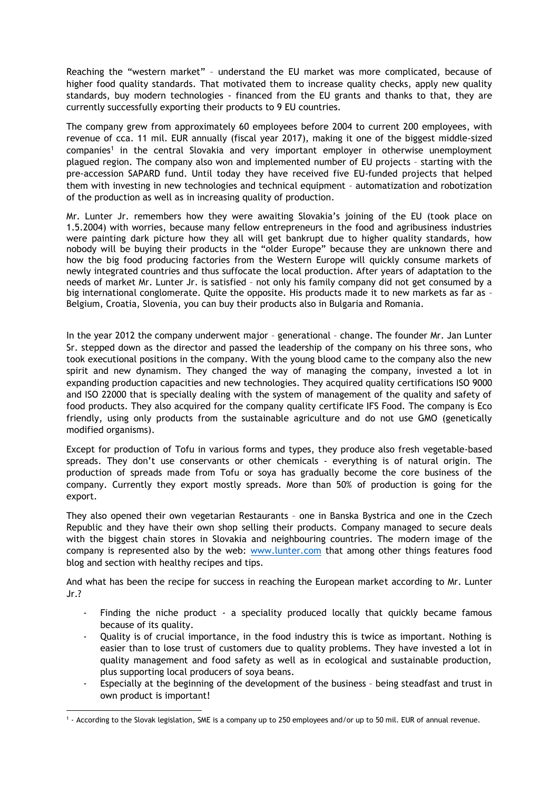Reaching the "western market" – understand the EU market was more complicated, because of higher food quality standards. That motivated them to increase quality checks, apply new quality standards, buy modern technologies - financed from the EU grants and thanks to that, they are currently successfully exporting their products to 9 EU countries.

The company grew from approximately 60 employees before 2004 to current 200 employees, with revenue of cca. 11 mil. EUR annually (fiscal year 2017), making it one of the biggest middle-sized companies<sup>1</sup> in the central Slovakia and very important employer in otherwise unemployment plagued region. The company also won and implemented number of EU projects – starting with the pre-accession SAPARD fund. Until today they have received five EU-funded projects that helped them with investing in new technologies and technical equipment – automatization and robotization of the production as well as in increasing quality of production.

Mr. Lunter Jr. remembers how they were awaiting Slovakia's joining of the EU (took place on 1.5.2004) with worries, because many fellow entrepreneurs in the food and agribusiness industries were painting dark picture how they all will get bankrupt due to higher quality standards, how nobody will be buying their products in the "older Europe" because they are unknown there and how the big food producing factories from the Western Europe will quickly consume markets of newly integrated countries and thus suffocate the local production. After years of adaptation to the needs of market Mr. Lunter Jr. is satisfied – not only his family company did not get consumed by a big international conglomerate. Quite the opposite. His products made it to new markets as far as -Belgium, Croatia, Slovenia, you can buy their products also in Bulgaria and Romania.

In the year 2012 the company underwent major – generational – change. The founder Mr. Jan Lunter Sr. stepped down as the director and passed the leadership of the company on his three sons, who took executional positions in the company. With the young blood came to the company also the new spirit and new dynamism. They changed the way of managing the company, invested a lot in expanding production capacities and new technologies. They acquired quality certifications ISO 9000 and ISO 22000 that is specially dealing with the system of management of the quality and safety of food products. They also acquired for the company quality certificate IFS Food. The company is Eco friendly, using only products from the sustainable agriculture and do not use GMO (genetically modified organisms).

Except for production of Tofu in various forms and types, they produce also fresh vegetable-based spreads. They don't use conservants or other chemicals - everything is of natural origin. The production of spreads made from Tofu or soya has gradually become the core business of the company. Currently they export mostly spreads. More than 50% of production is going for the export.

They also opened their own vegetarian Restaurants – one in Banska Bystrica and one in the Czech Republic and they have their own shop selling their products. Company managed to secure deals with the biggest chain stores in Slovakia and neighbouring countries. The modern image of the company is represented also by the web: [www.lunter.com](http://www.lunter.com/) that among other things features food blog and section with healthy recipes and tips.

And what has been the recipe for success in reaching the European market according to Mr. Lunter Jr.?

- Finding the niche product a speciality produced locally that quickly became famous because of its quality.
- Quality is of crucial importance, in the food industry this is twice as important. Nothing is easier than to lose trust of customers due to quality problems. They have invested a lot in quality management and food safety as well as in ecological and sustainable production, plus supporting local producers of soya beans.
- Especially at the beginning of the development of the business being steadfast and trust in own product is important!

**<sup>.</sup>** 1 - According to the Slovak legislation, SME is a company up to 250 employees and/or up to 50 mil. EUR of annual revenue.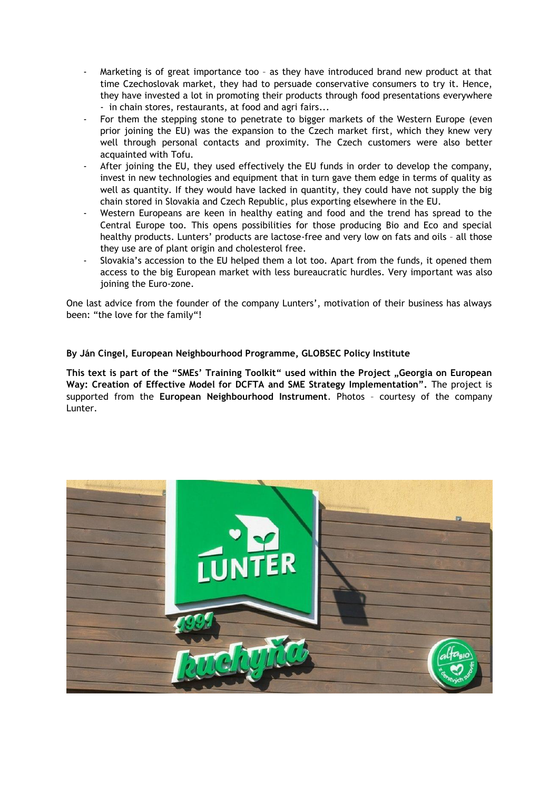- Marketing is of great importance too as they have introduced brand new product at that time Czechoslovak market, they had to persuade conservative consumers to try it. Hence, they have invested a lot in promoting their products through food presentations everywhere - in chain stores, restaurants, at food and agri fairs...
- For them the stepping stone to penetrate to bigger markets of the Western Europe (even prior joining the EU) was the expansion to the Czech market first, which they knew very well through personal contacts and proximity. The Czech customers were also better acquainted with Tofu.
- After joining the EU, they used effectively the EU funds in order to develop the company, invest in new technologies and equipment that in turn gave them edge in terms of quality as well as quantity. If they would have lacked in quantity, they could have not supply the big chain stored in Slovakia and Czech Republic, plus exporting elsewhere in the EU.
- Western Europeans are keen in healthy eating and food and the trend has spread to the Central Europe too. This opens possibilities for those producing Bio and Eco and special healthy products. Lunters' products are lactose-free and very low on fats and oils – all those they use are of plant origin and cholesterol free.
- Slovakia's accession to the EU helped them a lot too. Apart from the funds, it opened them access to the big European market with less bureaucratic hurdles. Very important was also joining the Euro-zone.

One last advice from the founder of the company Lunters', motivation of their business has always been: "the love for the family"!

## **By Ján Cingel, European Neighbourhood Programme, GLOBSEC Policy Institute**

**This text is part of the "SMEs' Training Toolkit" used within the Project "Georgia on European Way: Creation of Effective Model for DCFTA and SME Strategy Implementation".** The project is supported from the **European Neighbourhood Instrument**. Photos – courtesy of the company Lunter.